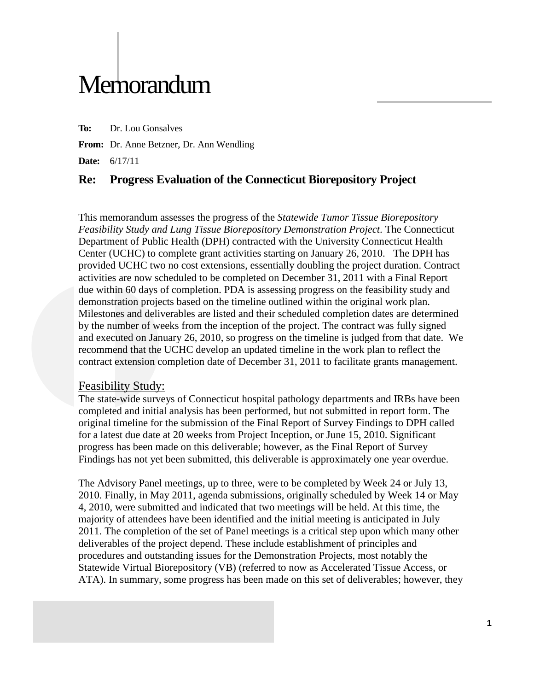# **Memorandum**

**To:** Dr. Lou Gonsalves

**From:** Dr. Anne Betzner, Dr. Ann Wendling

**Date:** 6/17/11

## **Re: Progress Evaluation of the Connecticut Biorepository Project**

This memorandum assesses the progress of the *Statewide Tumor Tissue Biorepository Feasibility Study and Lung Tissue Biorepository Demonstration Project*. The Connecticut Department of Public Health (DPH) contracted with the University Connecticut Health Center (UCHC) to complete grant activities starting on January 26, 2010. The DPH has provided UCHC two no cost extensions, essentially doubling the project duration. Contract activities are now scheduled to be completed on December 31, 2011 with a Final Report due within 60 days of completion. PDA is assessing progress on the feasibility study and demonstration projects based on the timeline outlined within the original work plan. Milestones and deliverables are listed and their scheduled completion dates are determined by the number of weeks from the inception of the project. The contract was fully signed and executed on January 26, 2010, so progress on the timeline is judged from that date. We recommend that the UCHC develop an updated timeline in the work plan to reflect the contract extension completion date of December 31, 2011 to facilitate grants management.

#### Feasibility Study:

The state-wide surveys of Connecticut hospital pathology departments and IRBs have been completed and initial analysis has been performed, but not submitted in report form. The original timeline for the submission of the Final Report of Survey Findings to DPH called for a latest due date at 20 weeks from Project Inception, or June 15, 2010. Significant progress has been made on this deliverable; however, as the Final Report of Survey Findings has not yet been submitted, this deliverable is approximately one year overdue.

The Advisory Panel meetings, up to three, were to be completed by Week 24 or July 13, 2010. Finally, in May 2011, agenda submissions, originally scheduled by Week 14 or May 4, 2010, were submitted and indicated that two meetings will be held. At this time, the majority of attendees have been identified and the initial meeting is anticipated in July 2011. The completion of the set of Panel meetings is a critical step upon which many other deliverables of the project depend. These include establishment of principles and procedures and outstanding issues for the Demonstration Projects, most notably the Statewide Virtual Biorepository (VB) (referred to now as Accelerated Tissue Access, or ATA). In summary, some progress has been made on this set of deliverables; however, they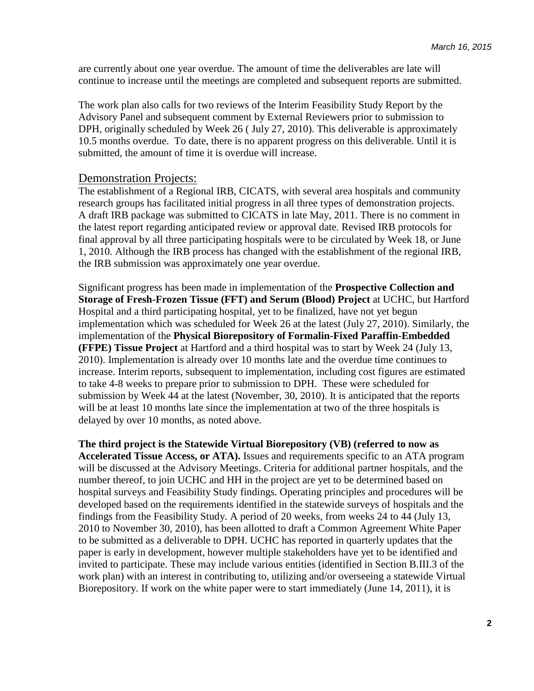are currently about one year overdue. The amount of time the deliverables are late will continue to increase until the meetings are completed and subsequent reports are submitted.

The work plan also calls for two reviews of the Interim Feasibility Study Report by the Advisory Panel and subsequent comment by External Reviewers prior to submission to DPH, originally scheduled by Week 26 ( July 27, 2010). This deliverable is approximately 10.5 months overdue. To date, there is no apparent progress on this deliverable. Until it is submitted, the amount of time it is overdue will increase.

#### Demonstration Projects:

The establishment of a Regional IRB, CICATS, with several area hospitals and community research groups has facilitated initial progress in all three types of demonstration projects. A draft IRB package was submitted to CICATS in late May, 2011. There is no comment in the latest report regarding anticipated review or approval date. Revised IRB protocols for final approval by all three participating hospitals were to be circulated by Week 18, or June 1, 2010. Although the IRB process has changed with the establishment of the regional IRB, the IRB submission was approximately one year overdue.

Significant progress has been made in implementation of the **Prospective Collection and Storage of Fresh-Frozen Tissue (FFT) and Serum (Blood) Project** at UCHC, but Hartford Hospital and a third participating hospital, yet to be finalized, have not yet begun implementation which was scheduled for Week 26 at the latest (July 27, 2010). Similarly, the implementation of the **Physical Biorepository of Formalin-Fixed Paraffin-Embedded (FFPE) Tissue Project** at Hartford and a third hospital was to start by Week 24 (July 13, 2010). Implementation is already over 10 months late and the overdue time continues to increase. Interim reports, subsequent to implementation, including cost figures are estimated to take 4-8 weeks to prepare prior to submission to DPH. These were scheduled for submission by Week 44 at the latest (November, 30, 2010). It is anticipated that the reports will be at least 10 months late since the implementation at two of the three hospitals is delayed by over 10 months, as noted above.

**The third project is the Statewide Virtual Biorepository (VB) (referred to now as Accelerated Tissue Access, or ATA).** Issues and requirements specific to an ATA program will be discussed at the Advisory Meetings. Criteria for additional partner hospitals, and the number thereof, to join UCHC and HH in the project are yet to be determined based on hospital surveys and Feasibility Study findings. Operating principles and procedures will be developed based on the requirements identified in the statewide surveys of hospitals and the findings from the Feasibility Study. A period of 20 weeks, from weeks 24 to 44 (July 13, 2010 to November 30, 2010), has been allotted to draft a Common Agreement White Paper to be submitted as a deliverable to DPH. UCHC has reported in quarterly updates that the paper is early in development, however multiple stakeholders have yet to be identified and invited to participate. These may include various entities (identified in Section B.III.3 of the work plan) with an interest in contributing to, utilizing and/or overseeing a statewide Virtual Biorepository. If work on the white paper were to start immediately (June 14, 2011), it is